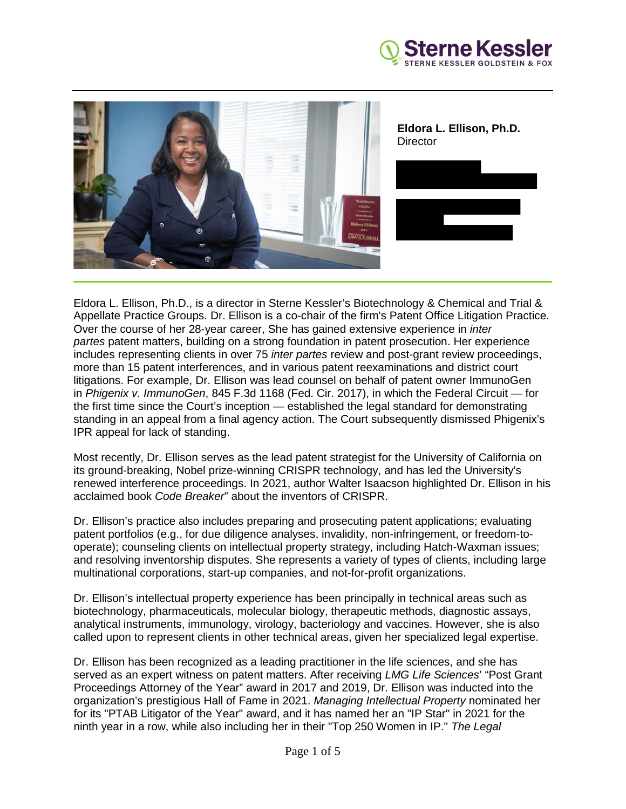



Eldora L. Ellison, Ph.D., is a director in Sterne Kessler's Biotechnology & Chemical and Trial & Appellate Practice Groups. Dr. Ellison is a co-chair of the firm's Patent Office Litigation Practice. Over the course of her 28-year career, She has gained extensive experience in *inter partes* patent matters, building on a strong foundation in patent prosecution. Her experience includes representing clients in over 75 *inter partes* review and post-grant review proceedings, more than 15 patent interferences, and in various patent reexaminations and district court litigations. For example, Dr. Ellison was lead counsel on behalf of patent owner ImmunoGen in *Phigenix v. ImmunoGen*, 845 F.3d 1168 (Fed. Cir. 2017), in which the Federal Circuit — for the first time since the Court's inception — established the legal standard for demonstrating standing in an appeal from a final agency action. The Court subsequently dismissed Phigenix's IPR appeal for lack of standing.

Most recently, Dr. Ellison serves as the lead patent strategist for the University of California on its ground-breaking, Nobel prize-winning CRISPR technology, and has led the University's renewed interference proceedings. In 2021, author Walter Isaacson highlighted Dr. Ellison in his acclaimed book *Code Breaker*" about the inventors of CRISPR.

Dr. Ellison's practice also includes preparing and prosecuting patent applications; evaluating patent portfolios (e.g., for due diligence analyses, invalidity, non-infringement, or freedom-tooperate); counseling clients on intellectual property strategy, including Hatch-Waxman issues; and resolving inventorship disputes. She represents a variety of types of clients, including large multinational corporations, start-up companies, and not-for-profit organizations.

Dr. Ellison's intellectual property experience has been principally in technical areas such as biotechnology, pharmaceuticals, molecular biology, therapeutic methods, diagnostic assays, analytical instruments, immunology, virology, bacteriology and vaccines. However, she is also called upon to represent clients in other technical areas, given her specialized legal expertise.

Dr. Ellison has been recognized as a leading practitioner in the life sciences, and she has served as an expert witness on patent matters. After receiving *LMG Life Sciences*' "Post Grant Proceedings Attorney of the Year" award in 2017 and 2019, Dr. Ellison was inducted into the organization's prestigious Hall of Fame in 2021. *Managing Intellectual Property* nominated her for its "PTAB Litigator of the Year" award, and it has named her an "IP Star" in 2021 for the ninth year in a row, while also including her in their "Top 250 Women in IP." *The Legal*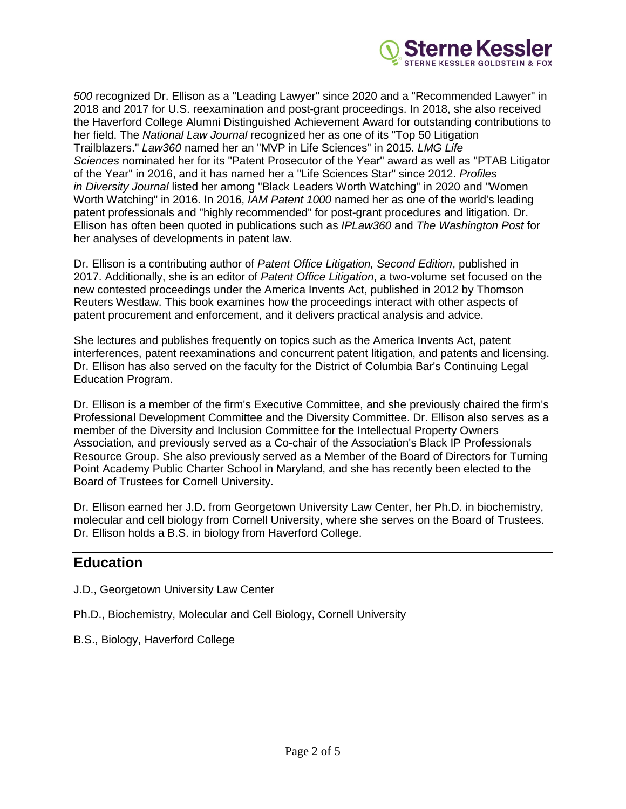

*500* recognized Dr. Ellison as a "Leading Lawyer" since 2020 and a "Recommended Lawyer" in 2018 and 2017 for U.S. reexamination and post-grant proceedings. In 2018, she also received the Haverford College Alumni Distinguished Achievement Award for outstanding contributions to her field. The *National Law Journal* recognized her as one of its "Top 50 Litigation Trailblazers." *Law360* named her an "MVP in Life Sciences" in 2015. *LMG Life Sciences* nominated her for its "Patent Prosecutor of the Year" award as well as "PTAB Litigator of the Year" in 2016, and it has named her a "Life Sciences Star" since 2012. *Profiles in Diversity Journal* listed her among "Black Leaders Worth Watching" in 2020 and "Women Worth Watching" in 2016. In 2016, *IAM Patent 1000* named her as one of the world's leading patent professionals and "highly recommended" for post-grant procedures and litigation. Dr. Ellison has often been quoted in publications such as *IPLaw360* and *The Washington Post* for her analyses of developments in patent law.

Dr. Ellison is a contributing author of *Patent Office Litigation, Second Edition*, published in 2017. Additionally, she is an editor of *Patent Office Litigation*, a two-volume set focused on the new contested proceedings under the America Invents Act, published in 2012 by Thomson Reuters Westlaw. This book examines how the proceedings interact with other aspects of patent procurement and enforcement, and it delivers practical analysis and advice.

She lectures and publishes frequently on topics such as the America Invents Act, patent interferences, patent reexaminations and concurrent patent litigation, and patents and licensing. Dr. Ellison has also served on the faculty for the District of Columbia Bar's Continuing Legal Education Program.

Dr. Ellison is a member of the firm's Executive Committee, and she previously chaired the firm's Professional Development Committee and the Diversity Committee. Dr. Ellison also serves as a member of the Diversity and Inclusion Committee for the Intellectual Property Owners Association, and previously served as a Co-chair of the Association's Black IP Professionals Resource Group. She also previously served as a Member of the Board of Directors for Turning Point Academy Public Charter School in Maryland, and she has recently been elected to the Board of Trustees for Cornell University.

Dr. Ellison earned her J.D. from Georgetown University Law Center, her Ph.D. in biochemistry, molecular and cell biology from Cornell University, where she serves on the Board of Trustees. Dr. Ellison holds a B.S. in biology from Haverford College.

# **Education**

- J.D., Georgetown University Law Center
- Ph.D., Biochemistry, Molecular and Cell Biology, Cornell University
- B.S., Biology, Haverford College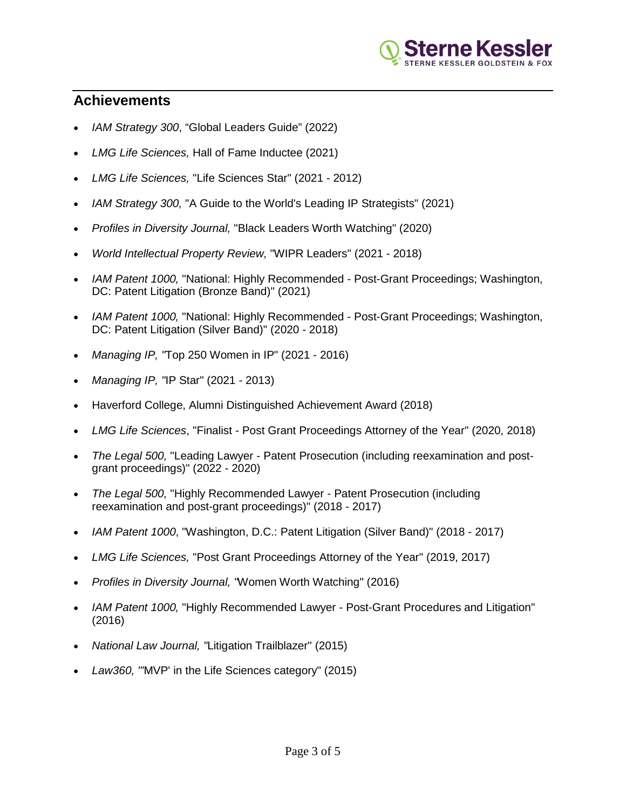

# **Achievements**

 $\overline{\phantom{a}}$ 

- *IAM Strategy 300*, "Global Leaders Guide" (2022)
- *LMG Life Sciences,* Hall of Fame Inductee (2021)
- *LMG Life Sciences,* "Life Sciences Star" (2021 2012)
- *IAM Strategy 300,* "A Guide to the World's Leading IP Strategists" (2021)
- *Profiles in Diversity Journal,* "Black Leaders Worth Watching" (2020)
- *World Intellectual Property Review,* "WIPR Leaders" (2021 2018)
- *IAM Patent 1000,* "National: Highly Recommended Post-Grant Proceedings; Washington, DC: Patent Litigation (Bronze Band)" (2021)
- *IAM Patent 1000,* "National: Highly Recommended Post-Grant Proceedings; Washington, DC: Patent Litigation (Silver Band)" (2020 - 2018)
- *Managing IP, "*Top 250 Women in IP" (2021 2016)
- *Managing IP, "*IP Star" (2021 2013)
- Haverford College, Alumni Distinguished Achievement Award (2018)
- *LMG Life Sciences*, "Finalist Post Grant Proceedings Attorney of the Year" (2020, 2018)
- *The Legal 500,* "Leading Lawyer Patent Prosecution (including reexamination and postgrant proceedings)" (2022 - 2020)
- *The Legal 500,* "Highly Recommended Lawyer Patent Prosecution (including reexamination and post-grant proceedings)" (2018 - 2017)
- *IAM Patent 1000*, "Washington, D.C.: Patent Litigation (Silver Band)" (2018 2017)
- *LMG Life Sciences,* "Post Grant Proceedings Attorney of the Year" (2019, 2017)
- *Profiles in Diversity Journal, "*Women Worth Watching" (2016)
- *IAM Patent 1000,* "Highly Recommended Lawyer Post-Grant Procedures and Litigation" (2016)
- *National Law Journal, "*Litigation Trailblazer" (2015)
- *Law360, "'*MVP' in the Life Sciences category" (2015)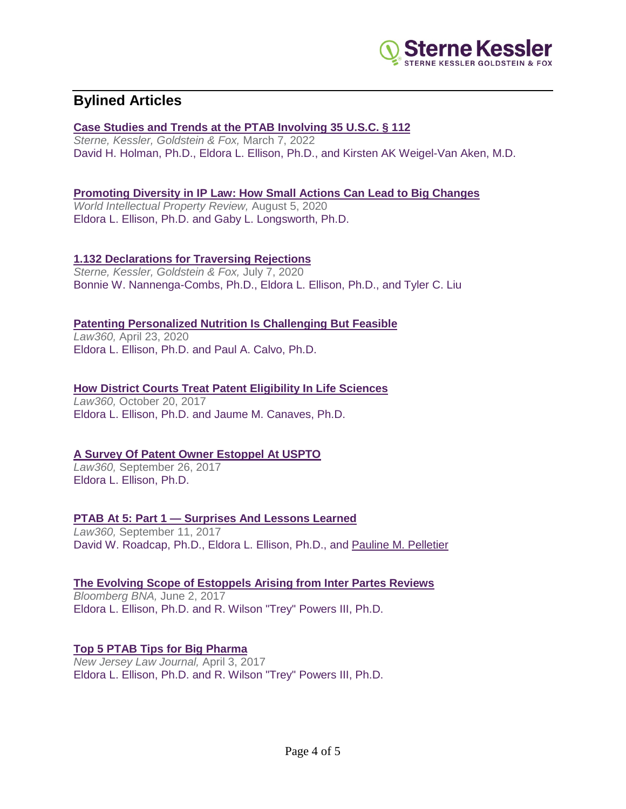

# **Bylined Articles**

 $\overline{\phantom{a}}$ 

#### **[Case Studies and Trends at the PTAB Involving 35 U.S.C. § 112](https://www.sternekessler.com/news-insights/publications/case-studies-and-trends-ptab-involving-35-usc-ss-112)**

*Sterne, Kessler, Goldstein & Fox,* March 7, 2022 David H. Holman, Ph.D., [Eldora L. Ellison, Ph.D.,](https://www.sternekessler.com/professionals/eldora-l-ellison) and [Kirsten AK Weigel-Van Aken, M.D.](https://www.sternekessler.com/professionals/kirsten-ak-weigel-van-aken)

### **[Promoting Diversity in IP Law: How Small Actions Can Lead to Big Changes](https://www.sternekessler.com/news-insights/publications/promoting-diversity-ip-law-how-small-actions-can-lead-big-changes)**

*World Intellectual Property Review,* August 5, 2020 [Eldora L. Ellison, Ph.D.](https://www.sternekessler.com/professionals/eldora-l-ellison) and [Gaby L. Longsworth, Ph.D.](https://www.sternekessler.com/professionals/gaby-l-longsworth)

### **[1.132 Declarations for Traversing Rejections](https://www.sternekessler.com/news-insights/publications/1132-declarations-traversing-rejections)**

*Sterne, Kessler, Goldstein & Fox,* July 7, 2020 [Bonnie W. Nannenga-Combs, Ph.D.,](https://www.sternekessler.com/professionals/bonnie-w-nannenga-combs) [Eldora L. Ellison, Ph.D.,](https://www.sternekessler.com/professionals/eldora-l-ellison) and [Tyler C. Liu](https://www.sternekessler.com/professionals/tyler-c-liu)

# **[Patenting Personalized Nutrition Is Challenging But Feasible](https://www.sternekessler.com/news-insights/publications/patenting-personalized-nutrition-challenging-feasible)**

*Law360,* April 23, 2020 [Eldora L. Ellison, Ph.D.](https://www.sternekessler.com/professionals/eldora-l-ellison) and [Paul A. Calvo, Ph.D.](https://www.sternekessler.com/professionals/paul-calvo)

#### **[How District Courts Treat Patent Eligibility In Life Sciences](https://www.sternekessler.com/news-insights/publications/how-district-courts-treat-patent-eligibility-life-sciences)**

*Law360,* October 20, 2017 [Eldora L. Ellison, Ph.D.](https://www.sternekessler.com/professionals/eldora-l-ellison) and [Jaume M. Canaves, Ph.D.](https://www.sternekessler.com/professionals/jaume-m-canaves)

# **[A Survey Of Patent Owner Estoppel At USPTO](https://www.sternekessler.com/news-insights/publications/survey-patent-owner-estoppel-uspto)**

*Law360,* September 26, 2017 [Eldora L. Ellison, Ph.D.](https://www.sternekessler.com/professionals/eldora-l-ellison)

# **PTAB At 5: Part 1 — [Surprises And Lessons Learned](https://www.sternekessler.com/news-insights/publications/ptab-5-part-1-surprises-and-lessons-learned)**

*Law360,* September 11, 2017 [David W. Roadcap, Ph.D.,](https://www.sternekessler.com/professionals/david-w-roadcap) [Eldora L. Ellison, Ph.D.,](https://www.sternekessler.com/professionals/eldora-l-ellison) and [Pauline M. Pelletier](https://www.sternekessler.com/professionals/pauline-m-pelletier)

# **[The Evolving Scope of Estoppels Arising from Inter Partes Reviews](https://www.sternekessler.com/news-insights/publications/evolving-scope-estoppels-arising-inter-partes-reviews)**

*Bloomberg BNA,* June 2, 2017 [Eldora L. Ellison, Ph.D.](https://www.sternekessler.com/professionals/eldora-l-ellison) and [R. Wilson "Trey" Powers III, Ph.D.](https://www.sternekessler.com/professionals/r-wilson-trey-powers-iii)

# **[Top 5 PTAB Tips for Big Pharma](https://www.sternekessler.com/news-insights/publications/top-5-ptab-tips-big-pharma)**

*New Jersey Law Journal,* April 3, 2017 [Eldora L. Ellison, Ph.D.](https://www.sternekessler.com/professionals/eldora-l-ellison) and [R. Wilson "Trey" Powers III, Ph.D.](https://www.sternekessler.com/professionals/r-wilson-trey-powers-iii)